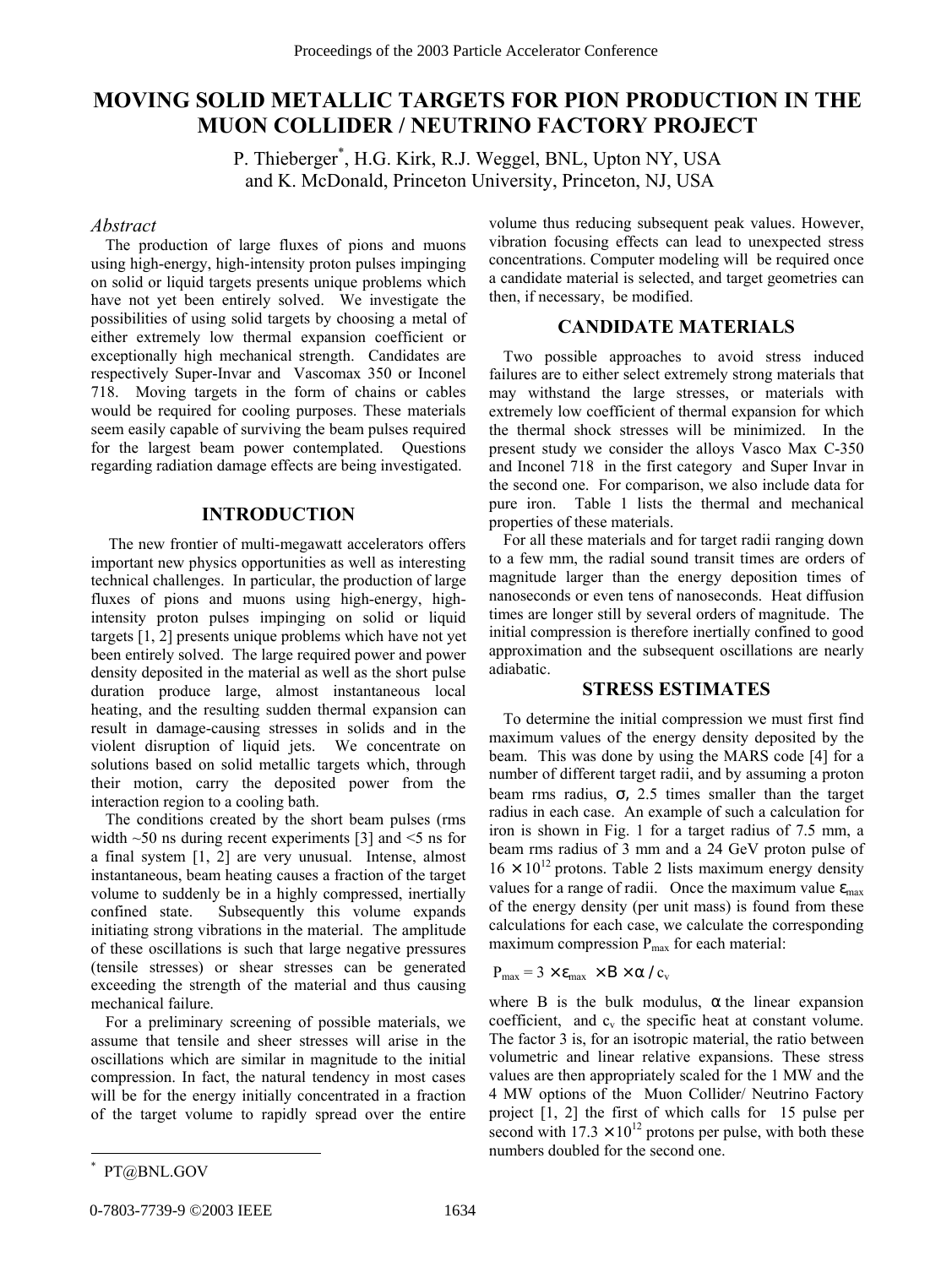# **MOVING SOLID METALLIC TARGETS FOR PION PRODUCTION IN THE MUON COLLIDER / NEUTRINO FACTORY PROJECT**

P. Thieberger\* , H.G. Kirk, R.J. Weggel, BNL, Upton NY, USA and K. McDonald, Princeton University, Princeton, NJ, USA

## *Abstract*

The production of large fluxes of pions and muons using high-energy, high-intensity proton pulses impinging on solid or liquid targets presents unique problems which have not yet been entirely solved. We investigate the possibilities of using solid targets by choosing a metal of either extremely low thermal expansion coefficient or exceptionally high mechanical strength. Candidates are respectively Super-Invar and Vascomax 350 or Inconel 718. Moving targets in the form of chains or cables would be required for cooling purposes. These materials seem easily capable of surviving the beam pulses required for the largest beam power contemplated. Questions regarding radiation damage effects are being investigated.

#### **INTRODUCTION**

The new frontier of multi-megawatt accelerators offers important new physics opportunities as well as interesting technical challenges. In particular, the production of large fluxes of pions and muons using high-energy, highintensity proton pulses impinging on solid or liquid targets [1, 2] presents unique problems which have not yet been entirely solved. The large required power and power density deposited in the material as well as the short pulse duration produce large, almost instantaneous local heating, and the resulting sudden thermal expansion can result in damage-causing stresses in solids and in the violent disruption of liquid jets. We concentrate on solutions based on solid metallic targets which, through their motion, carry the deposited power from the interaction region to a cooling bath.

The conditions created by the short beam pulses (rms width  $~50$  ns during recent experiments [3] and  $~5$  ns for a final system [1, 2] are very unusual. Intense, almost instantaneous, beam heating causes a fraction of the target volume to suddenly be in a highly compressed, inertially confined state. Subsequently this volume expands initiating strong vibrations in the material. The amplitude of these oscillations is such that large negative pressures (tensile stresses) or shear stresses can be generated exceeding the strength of the material and thus causing mechanical failure.

For a preliminary screening of possible materials, we assume that tensile and sheer stresses will arise in the oscillations which are similar in magnitude to the initial compression. In fact, the natural tendency in most cases will be for the energy initially concentrated in a fraction of the target volume to rapidly spread over the entire

#### **CANDIDATE MATERIALS**

Two possible approaches to avoid stress induced failures are to either select extremely strong materials that may withstand the large stresses, or materials with extremely low coefficient of thermal expansion for which the thermal shock stresses will be minimized. In the present study we consider the alloys Vasco Max C-350 and Inconel 718 in the first category and Super Invar in the second one. For comparison, we also include data for pure iron. Table 1 lists the thermal and mechanical properties of these materials.

For all these materials and for target radii ranging down to a few mm, the radial sound transit times are orders of magnitude larger than the energy deposition times of nanoseconds or even tens of nanoseconds. Heat diffusion times are longer still by several orders of magnitude. The initial compression is therefore inertially confined to good approximation and the subsequent oscillations are nearly adiabatic.

# **STRESS ESTIMATES**

To determine the initial compression we must first find maximum values of the energy density deposited by the beam. This was done by using the MARS code [4] for a number of different target radii, and by assuming a proton beam rms radius,  $\sigma$ , 2.5 times smaller than the target radius in each case. An example of such a calculation for iron is shown in Fig. 1 for a target radius of 7.5 mm, a beam rms radius of 3 mm and a 24 GeV proton pulse of  $16 \times 10^{12}$  protons. Table 2 lists maximum energy density values for a range of radii. Once the maximum value  $\varepsilon_{\text{max}}$ of the energy density (per unit mass) is found from these calculations for each case, we calculate the corresponding maximum compression P<sub>max</sub> for each material:

#### $P_{max}$  = 3  $\times \varepsilon_{max} \times B \times \alpha / c_v$

where B is the bulk modulus,  $\alpha$  the linear expansion coefficient, and  $c_v$  the specific heat at constant volume. The factor 3 is, for an isotropic material, the ratio between volumetric and linear relative expansions. These stress values are then appropriately scaled for the 1 MW and the 4 MW options of the Muon Collider/ Neutrino Factory project [1, 2] the first of which calls for 15 pulse per second with  $17.3 \times 10^{12}$  protons per pulse, with both these numbers doubled for the second one.

 $\overline{a}$ 

0-7803-7739-9 ©2003 IEEE 1634

volume thus reducing subsequent peak values. However, vibration focusing effects can lead to unexpected stress concentrations. Computer modeling will be required once a candidate material is selected, and target geometries can then, if necessary, be modified.

<sup>\*</sup> PT@BNL.GOV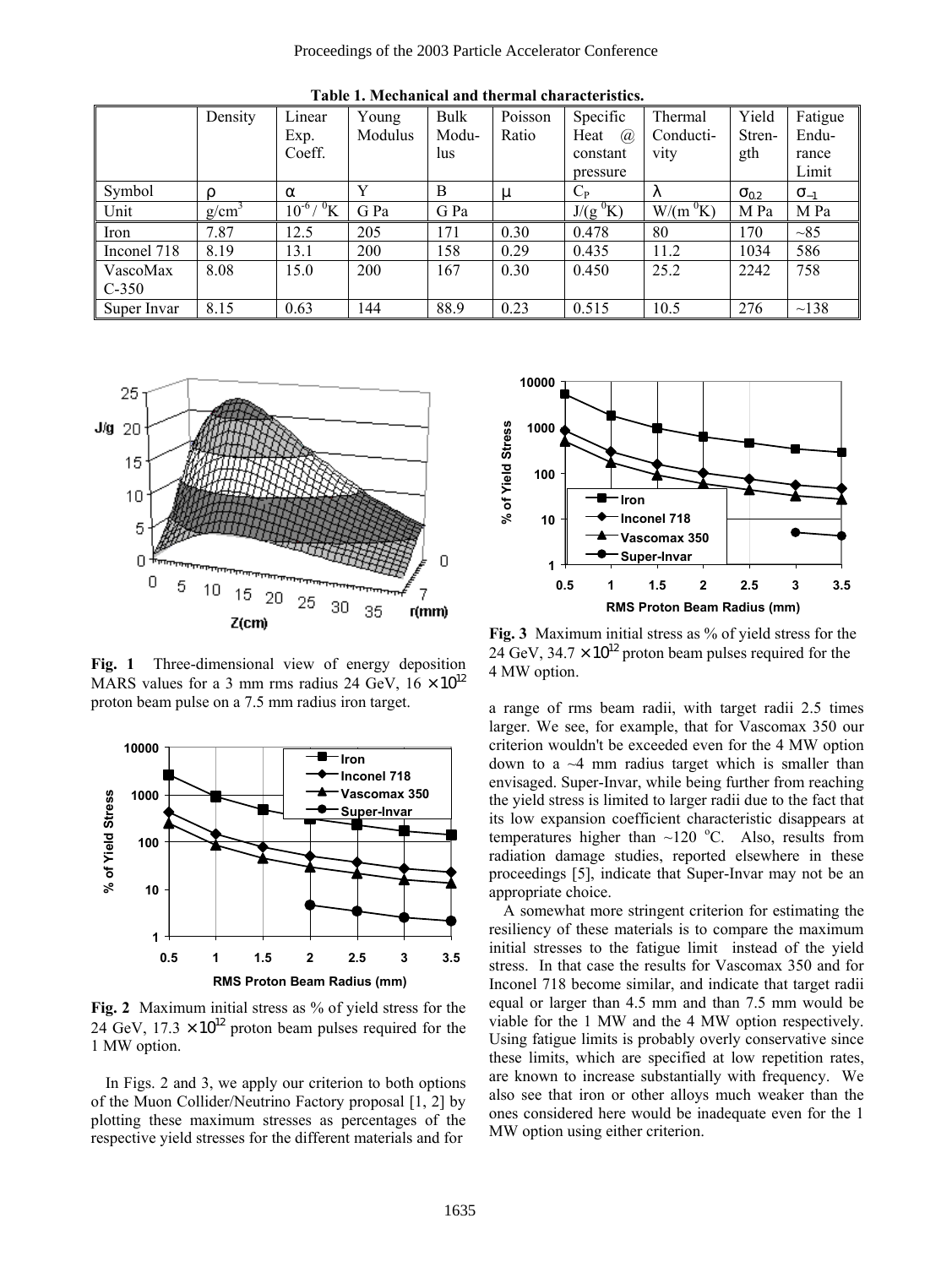|                     | Density           | Linear                  | Young   | <b>Bulk</b> | Poisson | Specific                            | Thermal    | Yield          | Fatigue       |
|---------------------|-------------------|-------------------------|---------|-------------|---------|-------------------------------------|------------|----------------|---------------|
|                     |                   | Exp.                    | Modulus | Modu-       | Ratio   | Heat<br>$\mathcal{D}_{\mathcal{A}}$ | Conducti-  | Stren-         | Endu-         |
|                     |                   | Coeff.                  |         | lus         |         | constant                            | vity       | gth            | rance         |
|                     |                   |                         |         |             |         | pressure                            |            |                | Limit         |
| Symbol              | ρ                 | $\alpha$                | Y       | B           | μ       | $C_{P}$                             | ⋏          | $\sigma_{0.2}$ | $\sigma_{-1}$ |
| Unit                | g/cm <sup>3</sup> | ${}^0$ K<br>$10^{-6}$ / | G Pa    | G Pa        |         | $J/(g^{0}K)$                        | $W/(m^0K)$ | M Pa           | M Pa          |
| Iron                | 7.87              | 12.5                    | 205     | 171         | 0.30    | 0.478                               | 80         | 170            | ~185          |
| Inconel 718         | 8.19              | 13.1                    | 200     | 158         | 0.29    | 0.435                               | 11.2       | 1034           | 586           |
| VascoMax<br>$C-350$ | 8.08              | 15.0                    | 200     | 167         | 0.30    | 0.450                               | 25.2       | 2242           | 758           |
| Super Invar         | 8.15              | 0.63                    | 144     | 88.9        | 0.23    | 0.515                               | 10.5       | 276            | $\sim$ 138    |

**Table 1. Mechanical and thermal characteristics.** 



**Fig. 1** Three-dimensional view of energy deposition MARS values for a 3 mm rms radius 24 GeV,  $16 \times 10^{12}$ proton beam pulse on a 7.5 mm radius iron target.



**Fig. 2** Maximum initial stress as % of yield stress for the 24 GeV,  $17.3 \times 10^{12}$  proton beam pulses required for the 1 MW option.

In Figs. 2 and 3, we apply our criterion to both options of the Muon Collider/Neutrino Factory proposal [1, 2] by plotting these maximum stresses as percentages of the respective yield stresses for the different materials and for



**Fig. 3** Maximum initial stress as % of yield stress for the 24 GeV,  $34.7 \times 10^{12}$  proton beam pulses required for the 4 MW option.

a range of rms beam radii, with target radii 2.5 times larger. We see, for example, that for Vascomax 350 our criterion wouldn't be exceeded even for the 4 MW option down to a  $\sim$ 4 mm radius target which is smaller than envisaged. Super-Invar, while being further from reaching the yield stress is limited to larger radii due to the fact that its low expansion coefficient characteristic disappears at temperatures higher than  $\sim$ 120 °C. Also, results from radiation damage studies, reported elsewhere in these proceedings [5], indicate that Super-Invar may not be an appropriate choice.

A somewhat more stringent criterion for estimating the resiliency of these materials is to compare the maximum initial stresses to the fatigue limit instead of the yield stress. In that case the results for Vascomax 350 and for Inconel 718 become similar, and indicate that target radii equal or larger than 4.5 mm and than 7.5 mm would be viable for the 1 MW and the 4 MW option respectively. Using fatigue limits is probably overly conservative since these limits, which are specified at low repetition rates, are known to increase substantially with frequency. We also see that iron or other alloys much weaker than the ones considered here would be inadequate even for the 1 MW option using either criterion.